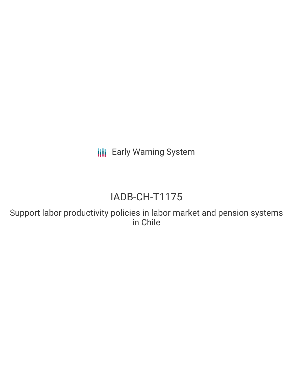**III** Early Warning System

# IADB-CH-T1175

Support labor productivity policies in labor market and pension systems in Chile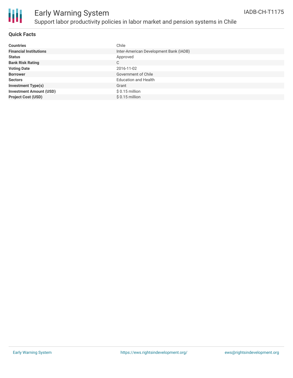

## Early Warning System Support labor productivity policies in labor market and pension systems in Chile

#### **Quick Facts**

| <b>Countries</b>               | Chile                                  |
|--------------------------------|----------------------------------------|
| <b>Financial Institutions</b>  | Inter-American Development Bank (IADB) |
| <b>Status</b>                  | Approved                               |
| <b>Bank Risk Rating</b>        | С                                      |
| <b>Voting Date</b>             | 2016-11-02                             |
| <b>Borrower</b>                | Government of Chile                    |
| <b>Sectors</b>                 | <b>Education and Health</b>            |
| <b>Investment Type(s)</b>      | Grant                                  |
| <b>Investment Amount (USD)</b> | $$0.15$ million                        |
| <b>Project Cost (USD)</b>      | $$0.15$ million                        |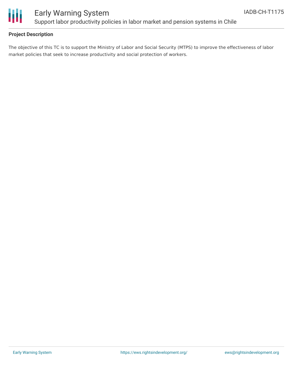

### Early Warning System Support labor productivity policies in labor market and pension systems in Chile

### **Project Description**

The objective of this TC is to support the Ministry of Labor and Social Security (MTPS) to improve the effectiveness of labor market policies that seek to increase productivity and social protection of workers.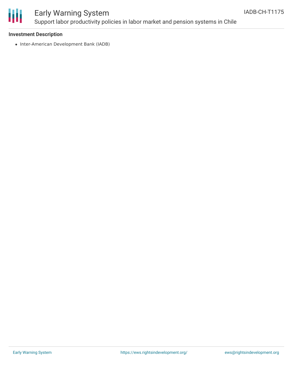

### Early Warning System Support labor productivity policies in labor market and pension systems in Chile

#### **Investment Description**

• Inter-American Development Bank (IADB)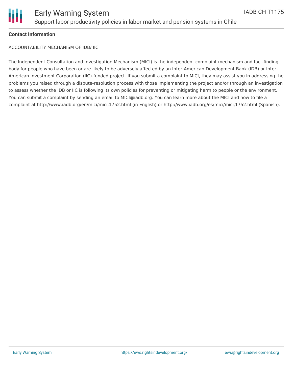

### **Contact Information**

ACCOUNTABILITY MECHANISM OF IDB/ IIC

The Independent Consultation and Investigation Mechanism (MICI) is the independent complaint mechanism and fact-finding body for people who have been or are likely to be adversely affected by an Inter-American Development Bank (IDB) or Inter-American Investment Corporation (IIC)-funded project. If you submit a complaint to MICI, they may assist you in addressing the problems you raised through a dispute-resolution process with those implementing the project and/or through an investigation to assess whether the IDB or IIC is following its own policies for preventing or mitigating harm to people or the environment. You can submit a complaint by sending an email to MICI@iadb.org. You can learn more about the MICI and how to file a complaint at http://www.iadb.org/en/mici/mici,1752.html (in English) or http://www.iadb.org/es/mici/mici,1752.html (Spanish).